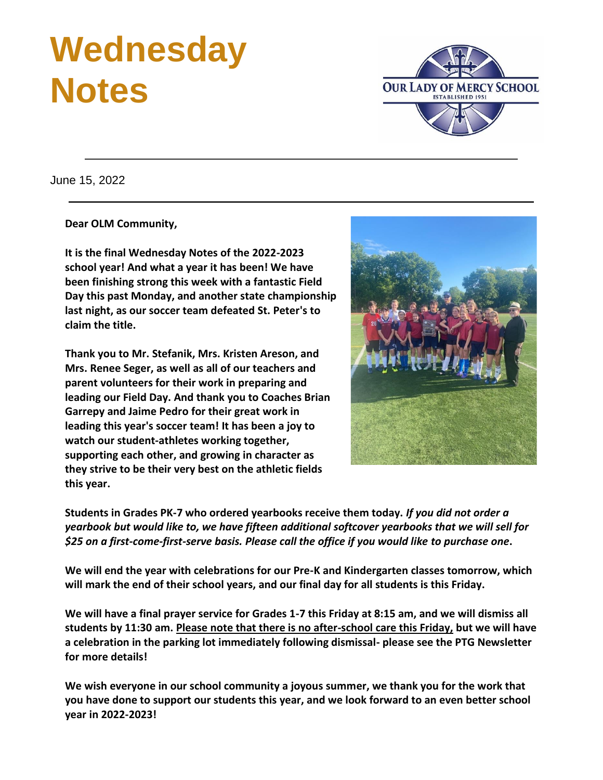# **Wednesday Notes**



June 15, 2022

**Dear OLM Community,**

**It is the final Wednesday Notes of the 2022-2023 school year! And what a year it has been! We have been finishing strong this week with a fantastic Field Day this past Monday, and another state championship last night, as our soccer team defeated St. Peter's to claim the title.**

**Thank you to Mr. Stefanik, Mrs. Kristen Areson, and Mrs. Renee Seger, as well as all of our teachers and parent volunteers for their work in preparing and leading our Field Day. And thank you to Coaches Brian Garrepy and Jaime Pedro for their great work in leading this year's soccer team! It has been a joy to watch our student-athletes working together, supporting each other, and growing in character as they strive to be their very best on the athletic fields this year.**



**Students in Grades PK-7 who ordered yearbooks receive them today.** *If you did not order a yearbook but would like to, we have fifteen additional softcover yearbooks that we will sell for \$25 on a first-come-first-serve basis. Please call the office if you would like to purchase one***.**

**We will end the year with celebrations for our Pre-K and Kindergarten classes tomorrow, which will mark the end of their school years, and our final day for all students is this Friday.**

**We will have a final prayer service for Grades 1-7 this Friday at 8:15 am, and we will dismiss all students by 11:30 am. Please note that there is no after-school care this Friday, but we will have a celebration in the parking lot immediately following dismissal- please see the PTG Newsletter for more details!**

**We wish everyone in our school community a joyous summer, we thank you for the work that you have done to support our students this year, and we look forward to an even better school year in 2022-2023!**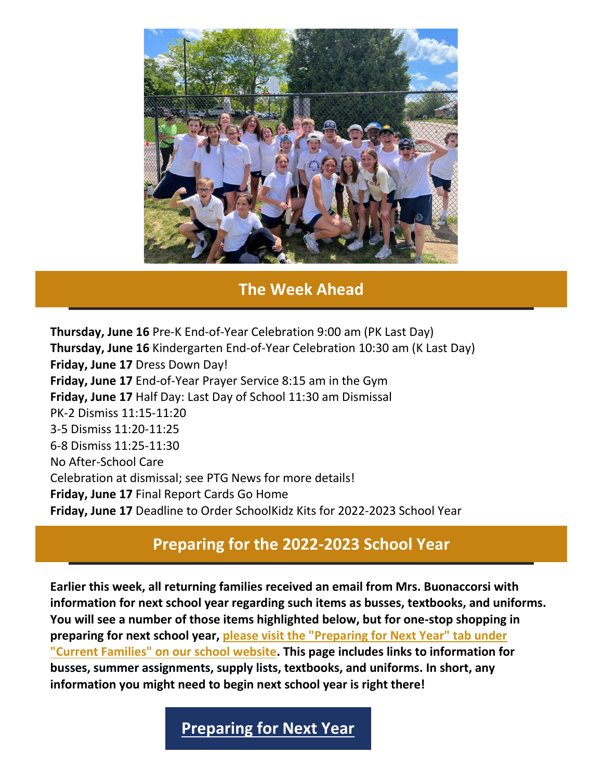

#### **The Week Ahead**

**Thursday, June 16** Pre-K End-of-Year Celebration 9:00 am (PK Last Day) **Thursday, June 16** Kindergarten End-of-Year Celebration 10:30 am (K Last Day) **Friday, June 17** Dress Down Day! **Friday, June 17** End-of-Year Prayer Service 8:15 am in the Gym **Friday, June 17** Half Day: Last Day of School 11:30 am Dismissal PK-2 Dismiss 11:15-11:20 3-5 Dismiss 11:20-11:25 6-8 Dismiss 11:25-11:30 No After-School Care Celebration at dismissal; see PTG News for more details! **Friday, June 17** Final Report Cards Go Home **Friday, June 17** Deadline to Order SchoolKidz Kits for 2022-2023 School Year

#### **Preparing for the 2022-2023 School Year**

**Earlier this week, all returning families received an email from Mrs. Buonaccorsi with information for next school year regarding such items as busses, textbooks, and uniforms. You will see a number of those items highlighted below, but for one-stop shopping in preparing for next school year, [please visit the "Preparing for Next Year" tab under](https://r20.rs6.net/tn.jsp?f=0014-PtVLLl9HVVcpt0Sr7E6ratys_wR-3xR0QcjppvzkVglESP_fcqe3k6puDIYQPjGCcnwjI73tltHUR7yn_Le6dynEfiNYdA727WRV3Z2Y03JTDuANjM5j8AMn_UaUtz3FyfMrrED6ljn7euDYEeVT8VomHKOVGUue39Dmt_p08fvH5IbTVF3oCHJlYbd1dwrqDoY6SBU7I=&c=&ch=)  ["Current Families" on our school website.](https://r20.rs6.net/tn.jsp?f=0014-PtVLLl9HVVcpt0Sr7E6ratys_wR-3xR0QcjppvzkVglESP_fcqe3k6puDIYQPjGCcnwjI73tltHUR7yn_Le6dynEfiNYdA727WRV3Z2Y03JTDuANjM5j8AMn_UaUtz3FyfMrrED6ljn7euDYEeVT8VomHKOVGUue39Dmt_p08fvH5IbTVF3oCHJlYbd1dwrqDoY6SBU7I=&c=&ch=) This page includes links to information for busses, summer assignments, supply lists, textbooks, and uniforms. In short, any information you might need to begin next school year is right there!**

#### **[Preparing for Next Year](https://r20.rs6.net/tn.jsp?f=0014-PtVLLl9HVVcpt0Sr7E6ratys_wR-3xR0QcjppvzkVglESP_fcqe3k6puDIYQPjGCcnwjI73tltHUR7yn_Le6dynEfiNYdA727WRV3Z2Y03JTDuANjM5j8AMn_UaUtz3FyfMrrED6ljn7euDYEeVT8VomHKOVGUue39Dmt_p08fvH5IbTVF3oCHJlYbd1dwrqDoY6SBU7I=&c=&ch=)**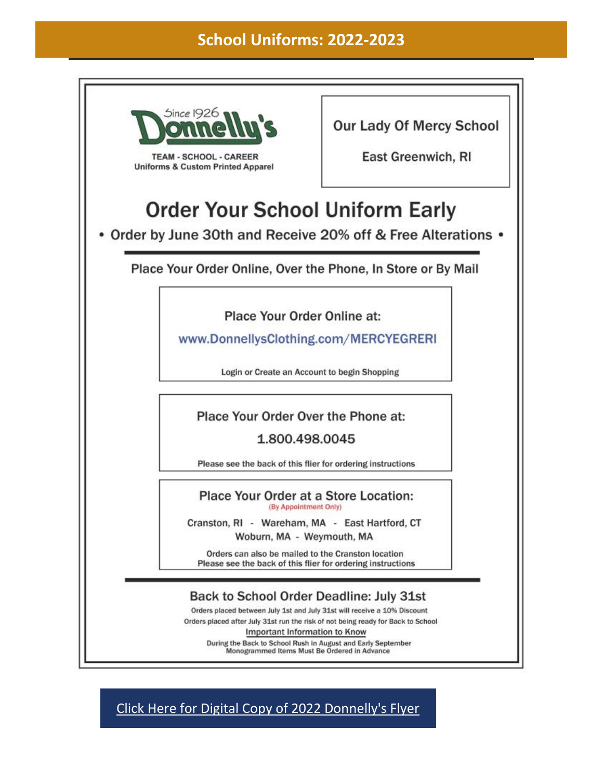#### **School Uniforms: 2022-2023**



[Click Here for Digital Copy of 2022 Donnelly's Flyer](https://r20.rs6.net/tn.jsp?f=0014-PtVLLl9HVVcpt0Sr7E6ratys_wR-3xR0QcjppvzkVglESP_fcqe3xWpFA6DpRdngrpXRLmPxuewQnvK2rqZNbZDAjjSgoqAj01gct6YJEtDhqethpOhgMhlDjb4I0GNsXmoEanIz7cPI_nqqNvWOVq7i5rXUjl_UwuJt4nRIr_Mn1svu96K7BAzuUwxoff4tz88TkKgcZMVvk7nVd7BZH25mmXLZoE6_GIUVD2hYg=&c=&ch=)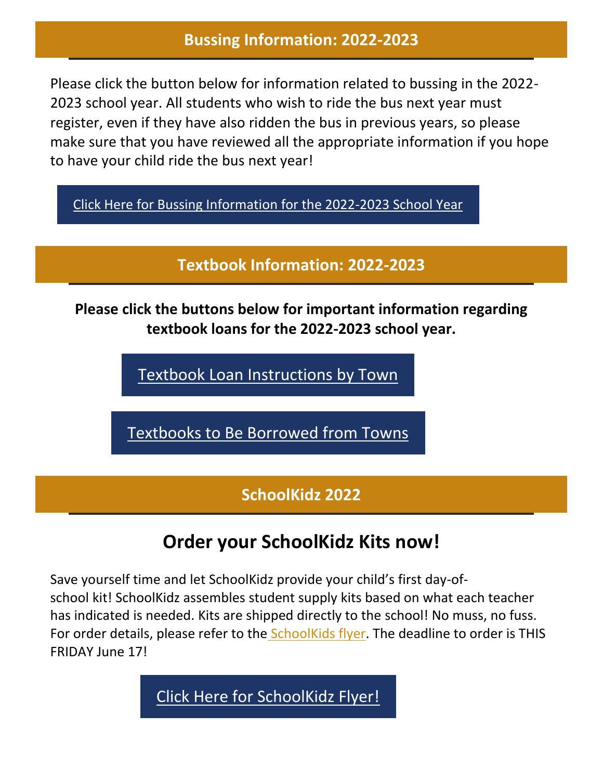#### **Bussing Information: 2022-2023**

Please click the button below for information related to bussing in the 2022- 2023 school year. All students who wish to ride the bus next year must register, even if they have also ridden the bus in previous years, so please make sure that you have reviewed all the appropriate information if you hope to have your child ride the bus next year!

[Click Here for Bussing Information for the 2022-2023 School Year](https://r20.rs6.net/tn.jsp?f=0014-PtVLLl9HVVcpt0Sr7E6ratys_wR-3xR0QcjppvzkVglESP_fcqe3xWpFA6DpRdvTPUwOkuKQm2sk-o0EMmpbbSM8tTSC0URwkmdMgXXlgXfZ1ckLnbyvUZniEHOAsu446XLO4JAj0L4__dLvFSL9FNxEDNJ-q41sq7Kpeeo0nxC_aE0akodTBY8HwOqybBaMY-6StU1EP1DUtPRGY1P-xs_SadoO7GKoXafdKHnf4=&c=&ch=)

**Textbook Information: 2022-2023**

**Please click the buttons below for important information regarding textbook loans for the 2022-2023 school year.**

[Textbook Loan Instructions by Town](https://r20.rs6.net/tn.jsp?f=0014-PtVLLl9HVVcpt0Sr7E6ratys_wR-3xR0QcjppvzkVglESP_fcqe2Od1jHIgfheoBT8C6sszhWbkYP7THOWF32fPvNPhrAjRBgySUCRscofuah-GEJyZNSbwEnIKnBETkW5MwIIJVznBWQPMpZCe8bigLkgKeIAHNxpXe7cE4u898XjkhZ5YjPv96OV3EJrfcDL6xPkSI6awVtehz8Gb8Yw7TJkz-hYs3Z1aoBbpUs=&c=&ch=)

[Textbooks to Be Borrowed from Towns](https://r20.rs6.net/tn.jsp?f=0014-PtVLLl9HVVcpt0Sr7E6ratys_wR-3xR0QcjppvzkVglESP_fcqe2Od1jHIgfheL1Vm9KtfB5k-miogN-TYRgjk_1FxDUJpWClaOVhWcS2ESeuJZM7eBFkC7WXWnO1MUn1WfPjeOfdfdU1KJQhvOuA3W7-QZzSpFI5VWQTQtlbyCOtWaemw7JxdJl9SPerQ2EmY4TY6tRAHFuX9VzMem7VbLC2_93bDdL9Dzp7HTxg=&c=&ch=)

### **SchoolKidz 2022**

## **Order your SchoolKidz Kits now!**

Save yourself time and let SchoolKidz provide your child's first day-ofschool kit! SchoolKidz assembles student supply kits based on what each teacher has indicated is needed. Kits are shipped directly to the school! No muss, no fuss. For order details, please refer to the [SchoolKids flyer.](https://r20.rs6.net/tn.jsp?f=001I-8FMArcmmllK-PZeuUVQBD7iB5DACwPJI25iY4GFkMXwd3wIa-O21Qmzjy-Yyd_OgwgNwGHYxv5Z7ngUlO7I_RbrG-eIp2vwqxEus53_VMhgMoCXY5Jw4SDEvJOeJHLOLt-1fRfsgkGAer85_CErMk4n9mYYmt73788Zbfd0ZpPx701gJmO0_MkEbzXSu5MJziFGDHo99GzXUMD7UomEp5pNxJyixfqwI-Z2cq5on8=&c=43YEtXmK5ekjYZRwG6S6ijD2Eo69ohxevI9yQ3DEQ84HK8-w30MjTw==&ch=NKY8bBCAvdkur8QCotjytcC6Vw5lRoWcV8CMYyQPgQRDRIarGBzPAQ==) The deadline to order is THIS FRIDAY June 17!

[Click Here for SchoolKidz Flyer!](https://r20.rs6.net/tn.jsp?f=0014-PtVLLl9HVVcpt0Sr7E6ratys_wR-3xR0QcjppvzkVglESP_fcqe0wmlnh-ofwJjal6P0kNIoxBgMuzBQTfkVQDcy26bgGTKMhE3SwcxKhvrQGpWtAEZgVCPN3VygJKi5LyNi6AY0qjp1Jmb2iIQE3iDXK9n89IYoRpgGCwrnTR5oqAalp1yy3QJXnM2oFI_v3e0uIInXmClsQhI6S0vEge5oPl46ytvQiyi0Y9P1s=&c=&ch=)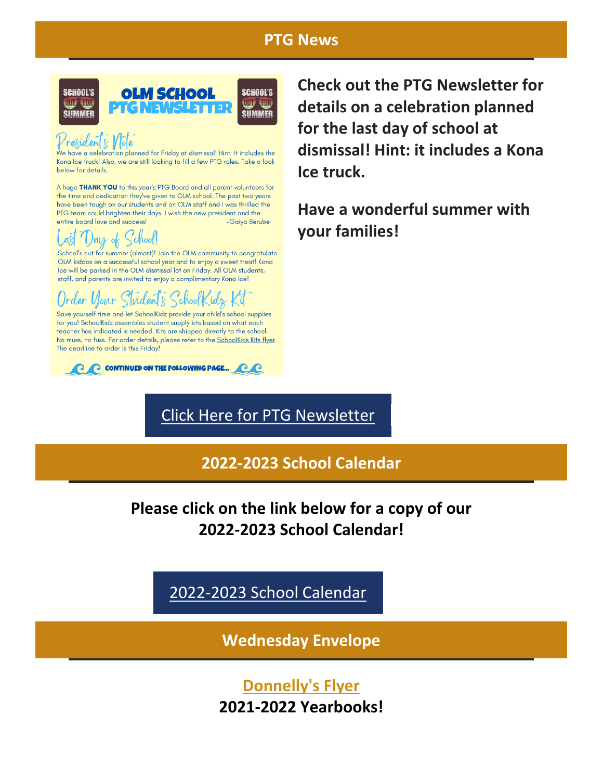#### **PTG News**



### Presidents Vlote

We have a celebration planned for Friday at dismissal! Hint: It includes the Kona Ice truck! Also, we are still looking to fill a few PTG roles. Take a look below for details.

A huge THANK YOU to this year's PTG Board and all parent volunteers for the time and dedication they've given to OLM school. The past two years have been tough on our students and on OLM staff and I was thrilled the PTG team could brighten their days. I wish the new president and the entire board love and success! -Gaiva Berube

## Day of School!

School's out for summer (almost)! Join the OLM community to congratulate OLM kiddos on a successful school year and to enjoy a sweet treat! Kona Ice will be parked in the OLM dismissal lot on Friday. All OLM students, staff, and parents are invited to enjoy a complimentary Kona Ice!

#### er Vlour Sluden<sup>t</sup>s idr

Save yourself time and let SchoolKidz provide your child's school supplies for you! SchoolKidz assembles student supply kits based on what each teacher has indicated is needed. Kits are shipped directly to the school. No muss, no fuss. For order details, please refer to the SchoolKids Kits flyer. The deadline to order is this Friday!



**Check out the PTG Newsletter for details on a celebration planned for the last day of school at dismissal! Hint: it includes a Kona Ice truck.**

**Have a wonderful summer with your families!**

### [Click Here for PTG Newsletter](https://r20.rs6.net/tn.jsp?f=0014-PtVLLl9HVVcpt0Sr7E6ratys_wR-3xR0QcjppvzkVglESP_fcqe3xWpFA6DpRdziUbs-_NbaUVHKbsycsEk4n5XKm3sOU6x9V3gcUMT5sXNi_1tfEDKPN8hLLI9cTS_lFPCkEe0Nx15OhFZ0Ad_WFvVozIqjhiobbnix60MY7gWjPTw0W9_3j6NePZaZMo5b1rsppXG3_Sl2xRDaIrpcvcZLekdXAXFCSIQRzRizY=&c=&ch=)

**2022-2023 School Calendar**

#### **Please click on the link below for a copy of our 2022-2023 School Calendar!**

[2022-2023 School Calendar](https://r20.rs6.net/tn.jsp?f=0014-PtVLLl9HVVcpt0Sr7E6ratys_wR-3xR0QcjppvzkVglESP_fcqe91Q9N2v-Q-NWDIaMNl4MioJD4fZvSRBiO91-94Y2wNNd3x5-w1Ur2sJC8kEQoE-grdfcKnMsCFuEVqYBg-8lTxeGQZ_1A8of-2FgS0pKbcAWriiVwsQ5CeYyqaHdTq5zh-fsK8NGLuKanMbTGndNRF4ORU6mMdIM_i8-7cCCp0U8h9h_r5VTkU=&c=&ch=)

**Wednesday Envelope**

**[Donnelly's Flyer](https://r20.rs6.net/tn.jsp?f=0014-PtVLLl9HVVcpt0Sr7E6ratys_wR-3xR0QcjppvzkVglESP_fcqe3xWpFA6DpRdngrpXRLmPxuewQnvK2rqZNbZDAjjSgoqAj01gct6YJEtDhqethpOhgMhlDjb4I0GNsXmoEanIz7cPI_nqqNvWOVq7i5rXUjl_UwuJt4nRIr_Mn1svu96K7BAzuUwxoff4tz88TkKgcZMVvk7nVd7BZH25mmXLZoE6_GIUVD2hYg=&c=&ch=) 2021-2022 Yearbooks!**